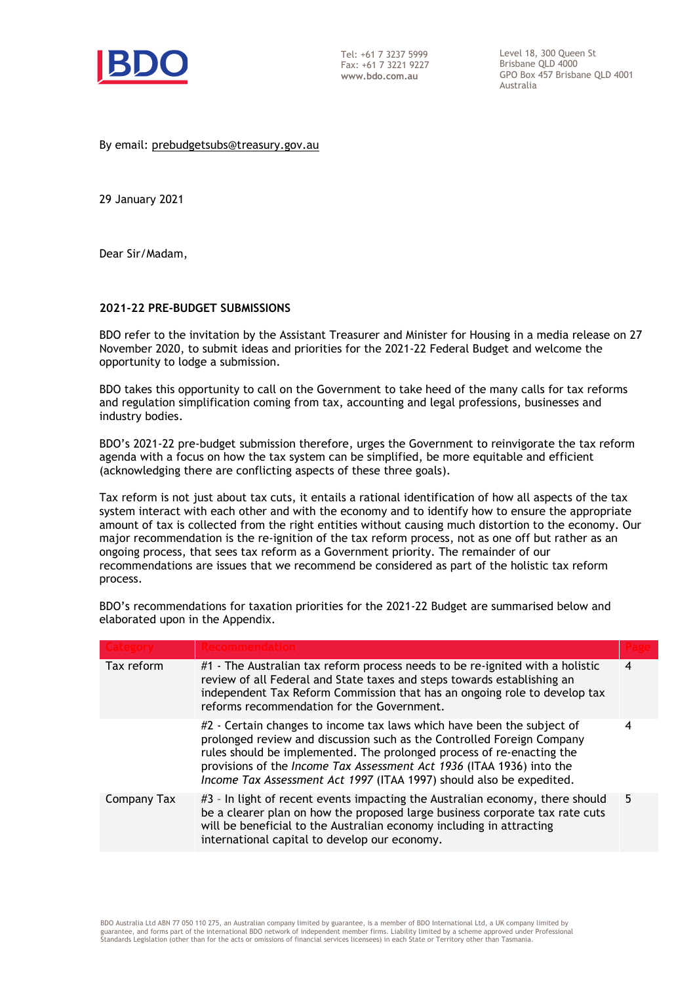

Tel: +61 7 3237 5999 Fax: +61 7 3221 9227 **www.bdo.com.au** 

Level 18, 300 Queen St Brisbane QLD 4000 GPO Box 457 Brisbane QLD 4001 Australia

By email: prebudgetsubs@treasury.gov.au

29 January 2021

Dear Sir/Madam,

### **2021-22 PRE-BUDGET SUBMISSIONS**

BDO refer to the invitation by the Assistant Treasurer and Minister for Housing in a media release on 27 November 2020, to submit ideas and priorities for the 2021-22 Federal Budget and welcome the opportunity to lodge a submission.

BDO takes this opportunity to call on the Government to take heed of the many calls for tax reforms and regulation simplification coming from tax, accounting and legal professions, businesses and industry bodies.

BDO's 2021-22 pre-budget submission therefore, urges the Government to reinvigorate the tax reform agenda with a focus on how the tax system can be simplified, be more equitable and efficient (acknowledging there are conflicting aspects of these three goals).

Tax reform is not just about tax cuts, it entails a rational identification of how all aspects of the tax system interact with each other and with the economy and to identify how to ensure the appropriate amount of tax is collected from the right entities without causing much distortion to the economy. Our major recommendation is the re-ignition of the tax reform process, not as one off but rather as an ongoing process, that sees tax reform as a Government priority. The remainder of our recommendations are issues that we recommend be considered as part of the holistic tax reform process.

BDO's recommendations for taxation priorities for the 2021-22 Budget are summarised below and elaborated upon in the Appendix.

| Tax reform  | #1 - The Australian tax reform process needs to be re-ignited with a holistic<br>review of all Federal and State taxes and steps towards establishing an<br>independent Tax Reform Commission that has an ongoing role to develop tax<br>reforms recommendation for the Government.                                                                                        | 4 |
|-------------|----------------------------------------------------------------------------------------------------------------------------------------------------------------------------------------------------------------------------------------------------------------------------------------------------------------------------------------------------------------------------|---|
|             | #2 - Certain changes to income tax laws which have been the subject of<br>prolonged review and discussion such as the Controlled Foreign Company<br>rules should be implemented. The prolonged process of re-enacting the<br>provisions of the Income Tax Assessment Act 1936 (ITAA 1936) into the<br>Income Tax Assessment Act 1997 (ITAA 1997) should also be expedited. | 4 |
| Company Tax | #3 - In light of recent events impacting the Australian economy, there should<br>be a clearer plan on how the proposed large business corporate tax rate cuts<br>will be beneficial to the Australian economy including in attracting<br>international capital to develop our economy.                                                                                     | 5 |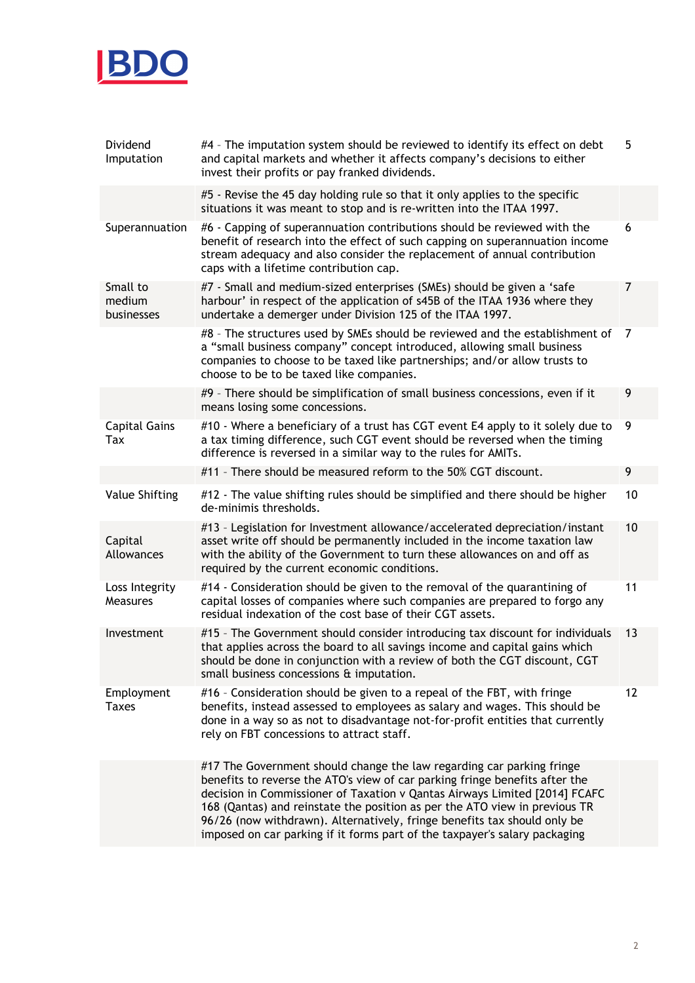

| Dividend<br>Imputation           | #4 - The imputation system should be reviewed to identify its effect on debt<br>and capital markets and whether it affects company's decisions to either<br>invest their profits or pay franked dividends.                                                                                                                                                                                                                                                                 | 5  |
|----------------------------------|----------------------------------------------------------------------------------------------------------------------------------------------------------------------------------------------------------------------------------------------------------------------------------------------------------------------------------------------------------------------------------------------------------------------------------------------------------------------------|----|
|                                  | #5 - Revise the 45 day holding rule so that it only applies to the specific<br>situations it was meant to stop and is re-written into the ITAA 1997.                                                                                                                                                                                                                                                                                                                       |    |
| Superannuation                   | #6 - Capping of superannuation contributions should be reviewed with the<br>benefit of research into the effect of such capping on superannuation income<br>stream adequacy and also consider the replacement of annual contribution<br>caps with a lifetime contribution cap.                                                                                                                                                                                             | 6  |
| Small to<br>medium<br>businesses | #7 - Small and medium-sized enterprises (SMEs) should be given a 'safe<br>harbour' in respect of the application of s45B of the ITAA 1936 where they<br>undertake a demerger under Division 125 of the ITAA 1997.                                                                                                                                                                                                                                                          | 7  |
|                                  | #8 - The structures used by SMEs should be reviewed and the establishment of<br>a "small business company" concept introduced, allowing small business<br>companies to choose to be taxed like partnerships; and/or allow trusts to<br>choose to be to be taxed like companies.                                                                                                                                                                                            | 7  |
|                                  | #9 - There should be simplification of small business concessions, even if it<br>means losing some concessions.                                                                                                                                                                                                                                                                                                                                                            | 9  |
| <b>Capital Gains</b><br>Tax      | #10 - Where a beneficiary of a trust has CGT event E4 apply to it solely due to<br>a tax timing difference, such CGT event should be reversed when the timing<br>difference is reversed in a similar way to the rules for AMITs.                                                                                                                                                                                                                                           | 9  |
|                                  | #11 - There should be measured reform to the 50% CGT discount.                                                                                                                                                                                                                                                                                                                                                                                                             | 9  |
| Value Shifting                   | #12 - The value shifting rules should be simplified and there should be higher<br>de-minimis thresholds.                                                                                                                                                                                                                                                                                                                                                                   | 10 |
| Capital<br>Allowances            | #13 - Legislation for Investment allowance/accelerated depreciation/instant<br>asset write off should be permanently included in the income taxation law<br>with the ability of the Government to turn these allowances on and off as<br>required by the current economic conditions.                                                                                                                                                                                      | 10 |
| Loss Integrity<br>Measures       | #14 - Consideration should be given to the removal of the quarantining of<br>capital losses of companies where such companies are prepared to forgo any<br>residual indexation of the cost base of their CGT assets.                                                                                                                                                                                                                                                       | 11 |
| Investment                       | #15 - The Government should consider introducing tax discount for individuals<br>that applies across the board to all savings income and capital gains which<br>should be done in conjunction with a review of both the CGT discount, CGT<br>small business concessions & imputation.                                                                                                                                                                                      | 13 |
| Employment<br><b>Taxes</b>       | #16 - Consideration should be given to a repeal of the FBT, with fringe<br>benefits, instead assessed to employees as salary and wages. This should be<br>done in a way so as not to disadvantage not-for-profit entities that currently<br>rely on FBT concessions to attract staff.                                                                                                                                                                                      | 12 |
|                                  | #17 The Government should change the law regarding car parking fringe<br>benefits to reverse the ATO's view of car parking fringe benefits after the<br>decision in Commissioner of Taxation v Qantas Airways Limited [2014] FCAFC<br>168 (Qantas) and reinstate the position as per the ATO view in previous TR<br>96/26 (now withdrawn). Alternatively, fringe benefits tax should only be<br>imposed on car parking if it forms part of the taxpayer's salary packaging |    |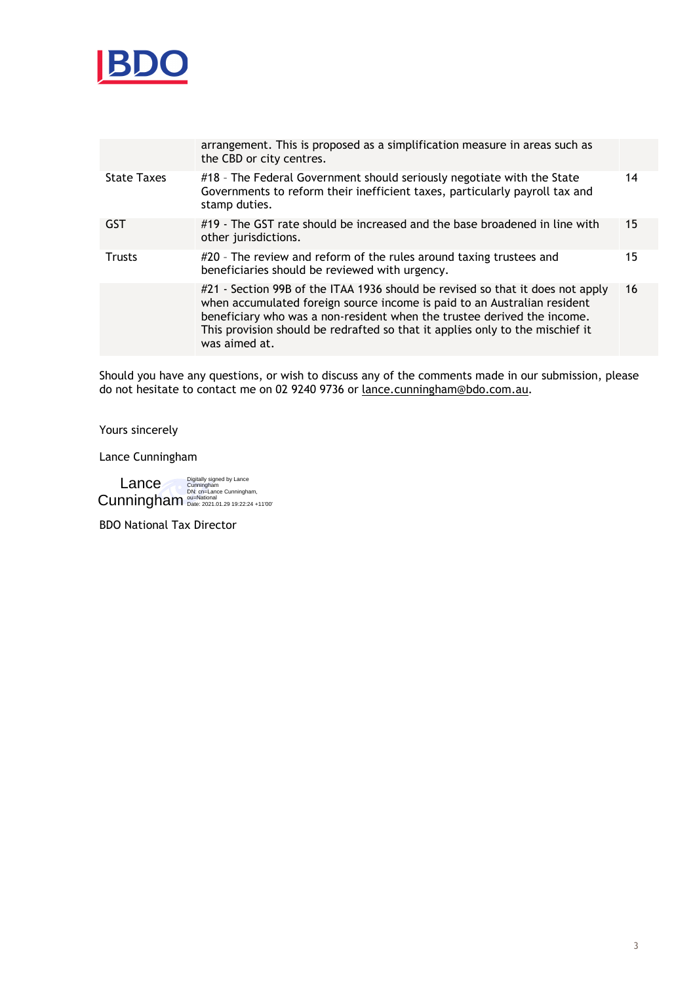

|                    | arrangement. This is proposed as a simplification measure in areas such as<br>the CBD or city centres.                                                                                                                                                                                                                                  |    |
|--------------------|-----------------------------------------------------------------------------------------------------------------------------------------------------------------------------------------------------------------------------------------------------------------------------------------------------------------------------------------|----|
| <b>State Taxes</b> | #18 - The Federal Government should seriously negotiate with the State<br>Governments to reform their inefficient taxes, particularly payroll tax and<br>stamp duties.                                                                                                                                                                  | 14 |
| <b>GST</b>         | #19 - The GST rate should be increased and the base broadened in line with<br>other jurisdictions.                                                                                                                                                                                                                                      | 15 |
| <b>Trusts</b>      | #20 - The review and reform of the rules around taxing trustees and<br>beneficiaries should be reviewed with urgency.                                                                                                                                                                                                                   | 15 |
|                    | #21 - Section 99B of the ITAA 1936 should be revised so that it does not apply<br>when accumulated foreign source income is paid to an Australian resident<br>beneficiary who was a non-resident when the trustee derived the income.<br>This provision should be redrafted so that it applies only to the mischief it<br>was aimed at. | 16 |

Should you have any questions, or wish to discuss any of the comments made in our submission, please do not hesitate to contact me on 02 9240 9736 or lance.cunningham@bdo.com.au.

Yours sincerely

Lance Cunningham

Digitally signed by Lance Cunningham DN: cn=Lance Cunningham, ou=National Date: 2021.01.29 19:22:24 +11'00' Lance **Cunningham** 

BDO National Tax Director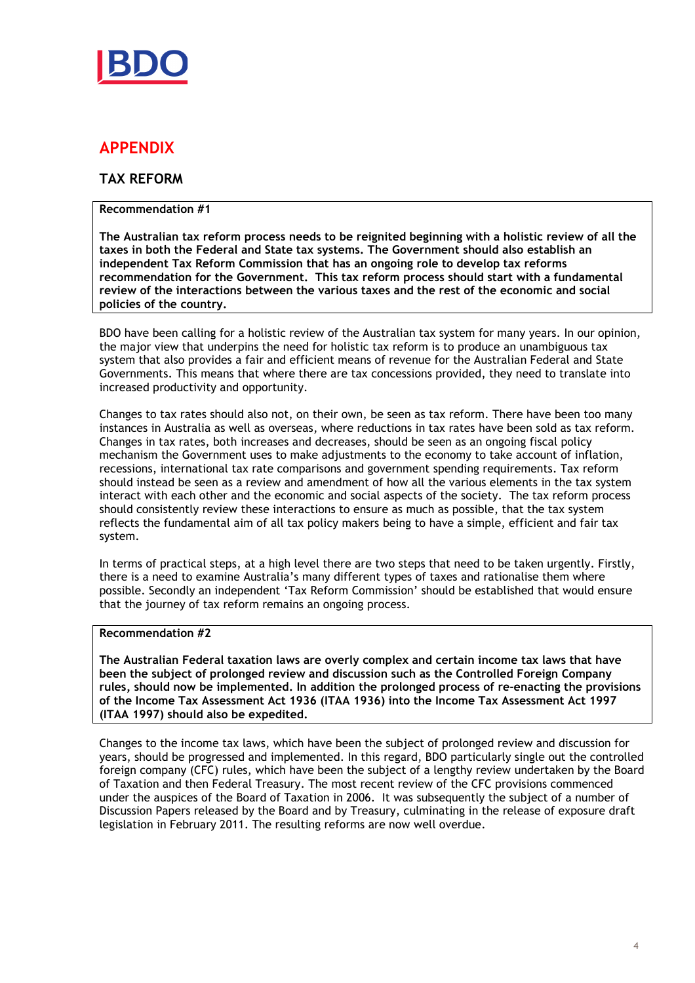

# **APPENDIX**

## **TAX REFORM**

## **Recommendation #1**

**The Australian tax reform process needs to be reignited beginning with a holistic review of all the taxes in both the Federal and State tax systems. The Government should also establish an independent Tax Reform Commission that has an ongoing role to develop tax reforms recommendation for the Government. This tax reform process should start with a fundamental review of the interactions between the various taxes and the rest of the economic and social policies of the country.** 

BDO have been calling for a holistic review of the Australian tax system for many years. In our opinion, the major view that underpins the need for holistic tax reform is to produce an unambiguous tax system that also provides a fair and efficient means of revenue for the Australian Federal and State Governments. This means that where there are tax concessions provided, they need to translate into increased productivity and opportunity.

Changes to tax rates should also not, on their own, be seen as tax reform. There have been too many instances in Australia as well as overseas, where reductions in tax rates have been sold as tax reform. Changes in tax rates, both increases and decreases, should be seen as an ongoing fiscal policy mechanism the Government uses to make adjustments to the economy to take account of inflation, recessions, international tax rate comparisons and government spending requirements. Tax reform should instead be seen as a review and amendment of how all the various elements in the tax system interact with each other and the economic and social aspects of the society. The tax reform process should consistently review these interactions to ensure as much as possible, that the tax system reflects the fundamental aim of all tax policy makers being to have a simple, efficient and fair tax system.

In terms of practical steps, at a high level there are two steps that need to be taken urgently. Firstly, there is a need to examine Australia's many different types of taxes and rationalise them where possible. Secondly an independent 'Tax Reform Commission' should be established that would ensure that the journey of tax reform remains an ongoing process.

## **Recommendation #2**

**The Australian Federal taxation laws are overly complex and certain income tax laws that have been the subject of prolonged review and discussion such as the Controlled Foreign Company rules, should now be implemented. In addition the prolonged process of re-enacting the provisions of the Income Tax Assessment Act 1936 (ITAA 1936) into the Income Tax Assessment Act 1997 (ITAA 1997) should also be expedited.** 

Changes to the income tax laws, which have been the subject of prolonged review and discussion for years, should be progressed and implemented. In this regard, BDO particularly single out the controlled foreign company (CFC) rules, which have been the subject of a lengthy review undertaken by the Board of Taxation and then Federal Treasury. The most recent review of the CFC provisions commenced under the auspices of the Board of Taxation in 2006. It was subsequently the subject of a number of Discussion Papers released by the Board and by Treasury, culminating in the release of exposure draft legislation in February 2011. The resulting reforms are now well overdue.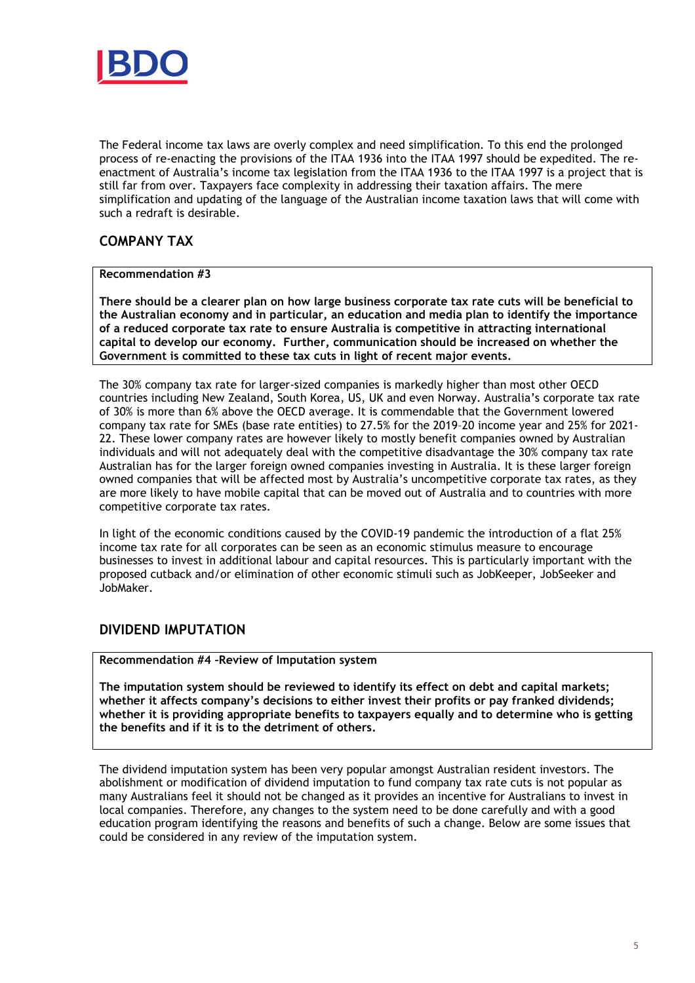

The Federal income tax laws are overly complex and need simplification. To this end the prolonged process of re-enacting the provisions of the ITAA 1936 into the ITAA 1997 should be expedited. The reenactment of Australia's income tax legislation from the ITAA 1936 to the ITAA 1997 is a project that is still far from over. Taxpayers face complexity in addressing their taxation affairs. The mere simplification and updating of the language of the Australian income taxation laws that will come with such a redraft is desirable.

## **COMPANY TAX**

### **Recommendation #3**

**There should be a clearer plan on how large business corporate tax rate cuts will be beneficial to the Australian economy and in particular, an education and media plan to identify the importance of a reduced corporate tax rate to ensure Australia is competitive in attracting international capital to develop our economy. Further, communication should be increased on whether the Government is committed to these tax cuts in light of recent major events.** 

The 30% company tax rate for larger-sized companies is markedly higher than most other OECD countries including New Zealand, South Korea, US, UK and even Norway. Australia's corporate tax rate of 30% is more than 6% above the OECD average. It is commendable that the Government lowered company tax rate for SMEs (base rate entities) to 27.5% for the 2019–20 income year and 25% for 2021- 22. These lower company rates are however likely to mostly benefit companies owned by Australian individuals and will not adequately deal with the competitive disadvantage the 30% company tax rate Australian has for the larger foreign owned companies investing in Australia. It is these larger foreign owned companies that will be affected most by Australia's uncompetitive corporate tax rates, as they are more likely to have mobile capital that can be moved out of Australia and to countries with more competitive corporate tax rates.

In light of the economic conditions caused by the COVID-19 pandemic the introduction of a flat 25% income tax rate for all corporates can be seen as an economic stimulus measure to encourage businesses to invest in additional labour and capital resources. This is particularly important with the proposed cutback and/or elimination of other economic stimuli such as JobKeeper, JobSeeker and JobMaker.

## **DIVIDEND IMPUTATION**

**Recommendation #4 –Review of Imputation system** 

**The imputation system should be reviewed to identify its effect on debt and capital markets; whether it affects company's decisions to either invest their profits or pay franked dividends; whether it is providing appropriate benefits to taxpayers equally and to determine who is getting the benefits and if it is to the detriment of others.** 

The dividend imputation system has been very popular amongst Australian resident investors. The abolishment or modification of dividend imputation to fund company tax rate cuts is not popular as many Australians feel it should not be changed as it provides an incentive for Australians to invest in local companies. Therefore, any changes to the system need to be done carefully and with a good education program identifying the reasons and benefits of such a change. Below are some issues that could be considered in any review of the imputation system.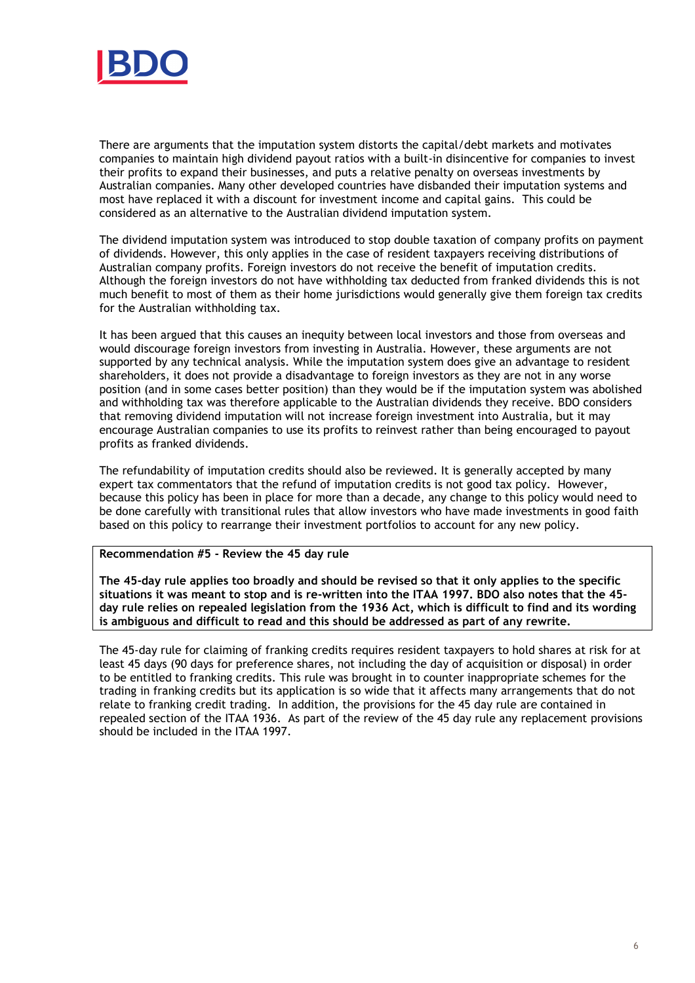

There are arguments that the imputation system distorts the capital/debt markets and motivates companies to maintain high dividend payout ratios with a built-in disincentive for companies to invest their profits to expand their businesses, and puts a relative penalty on overseas investments by Australian companies. Many other developed countries have disbanded their imputation systems and most have replaced it with a discount for investment income and capital gains. This could be considered as an alternative to the Australian dividend imputation system.

The dividend imputation system was introduced to stop double taxation of company profits on payment of dividends. However, this only applies in the case of resident taxpayers receiving distributions of Australian company profits. Foreign investors do not receive the benefit of imputation credits. Although the foreign investors do not have withholding tax deducted from franked dividends this is not much benefit to most of them as their home jurisdictions would generally give them foreign tax credits for the Australian withholding tax.

It has been argued that this causes an inequity between local investors and those from overseas and would discourage foreign investors from investing in Australia. However, these arguments are not supported by any technical analysis. While the imputation system does give an advantage to resident shareholders, it does not provide a disadvantage to foreign investors as they are not in any worse position (and in some cases better position) than they would be if the imputation system was abolished and withholding tax was therefore applicable to the Australian dividends they receive. BDO considers that removing dividend imputation will not increase foreign investment into Australia, but it may encourage Australian companies to use its profits to reinvest rather than being encouraged to payout profits as franked dividends.

The refundability of imputation credits should also be reviewed. It is generally accepted by many expert tax commentators that the refund of imputation credits is not good tax policy. However, because this policy has been in place for more than a decade, any change to this policy would need to be done carefully with transitional rules that allow investors who have made investments in good faith based on this policy to rearrange their investment portfolios to account for any new policy.

### **Recommendation #5 - Review the 45 day rule**

**The 45-day rule applies too broadly and should be revised so that it only applies to the specific situations it was meant to stop and is re-written into the ITAA 1997. BDO also notes that the 45 day rule relies on repealed legislation from the 1936 Act, which is difficult to find and its wording is ambiguous and difficult to read and this should be addressed as part of any rewrite.** 

The 45-day rule for claiming of franking credits requires resident taxpayers to hold shares at risk for at least 45 days (90 days for preference shares, not including the day of acquisition or disposal) in order to be entitled to franking credits. This rule was brought in to counter inappropriate schemes for the trading in franking credits but its application is so wide that it affects many arrangements that do not relate to franking credit trading. In addition, the provisions for the 45 day rule are contained in repealed section of the ITAA 1936. As part of the review of the 45 day rule any replacement provisions should be included in the ITAA 1997.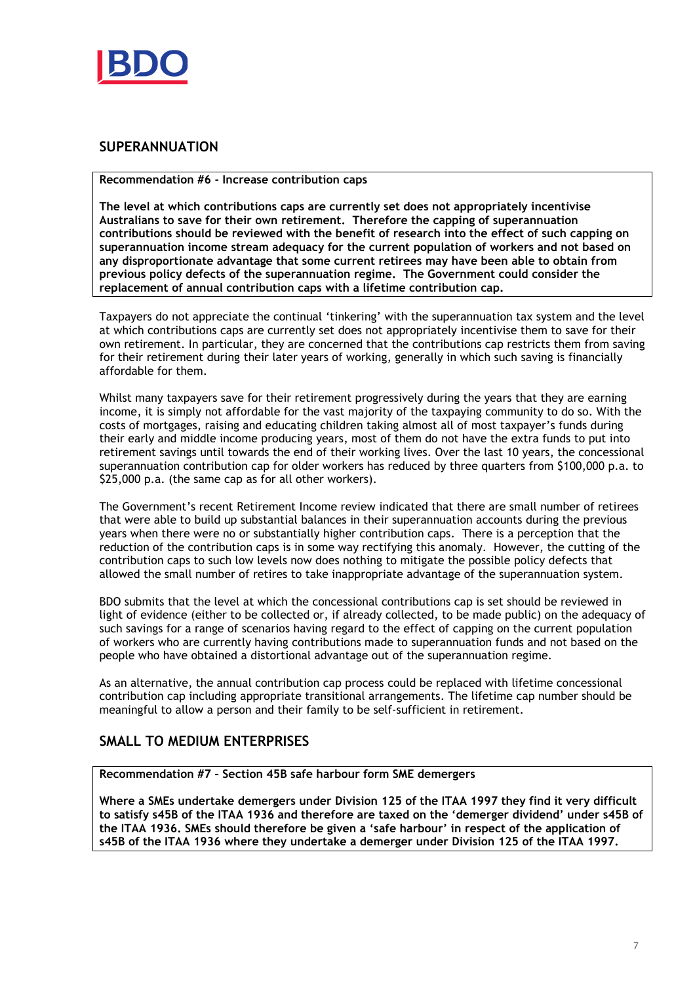

# **SUPERANNUATION**

**Recommendation #6 - Increase contribution caps** 

**The level at which contributions caps are currently set does not appropriately incentivise Australians to save for their own retirement. Therefore the capping of superannuation contributions should be reviewed with the benefit of research into the effect of such capping on superannuation income stream adequacy for the current population of workers and not based on any disproportionate advantage that some current retirees may have been able to obtain from previous policy defects of the superannuation regime. The Government could consider the replacement of annual contribution caps with a lifetime contribution cap.** 

Taxpayers do not appreciate the continual 'tinkering' with the superannuation tax system and the level at which contributions caps are currently set does not appropriately incentivise them to save for their own retirement. In particular, they are concerned that the contributions cap restricts them from saving for their retirement during their later years of working, generally in which such saving is financially affordable for them.

Whilst many taxpayers save for their retirement progressively during the years that they are earning income, it is simply not affordable for the vast majority of the taxpaying community to do so. With the costs of mortgages, raising and educating children taking almost all of most taxpayer's funds during their early and middle income producing years, most of them do not have the extra funds to put into retirement savings until towards the end of their working lives. Over the last 10 years, the concessional superannuation contribution cap for older workers has reduced by three quarters from \$100,000 p.a. to \$25,000 p.a. (the same cap as for all other workers).

The Government's recent Retirement Income review indicated that there are small number of retirees that were able to build up substantial balances in their superannuation accounts during the previous years when there were no or substantially higher contribution caps. There is a perception that the reduction of the contribution caps is in some way rectifying this anomaly. However, the cutting of the contribution caps to such low levels now does nothing to mitigate the possible policy defects that allowed the small number of retires to take inappropriate advantage of the superannuation system.

BDO submits that the level at which the concessional contributions cap is set should be reviewed in light of evidence (either to be collected or, if already collected, to be made public) on the adequacy of such savings for a range of scenarios having regard to the effect of capping on the current population of workers who are currently having contributions made to superannuation funds and not based on the people who have obtained a distortional advantage out of the superannuation regime.

As an alternative, the annual contribution cap process could be replaced with lifetime concessional contribution cap including appropriate transitional arrangements. The lifetime cap number should be meaningful to allow a person and their family to be self-sufficient in retirement.

# **SMALL TO MEDIUM ENTERPRISES**

**Recommendation #7 – Section 45B safe harbour form SME demergers** 

**Where a SMEs undertake demergers under Division 125 of the ITAA 1997 they find it very difficult to satisfy s45B of the ITAA 1936 and therefore are taxed on the 'demerger dividend' under s45B of the ITAA 1936. SMEs should therefore be given a 'safe harbour' in respect of the application of s45B of the ITAA 1936 where they undertake a demerger under Division 125 of the ITAA 1997.**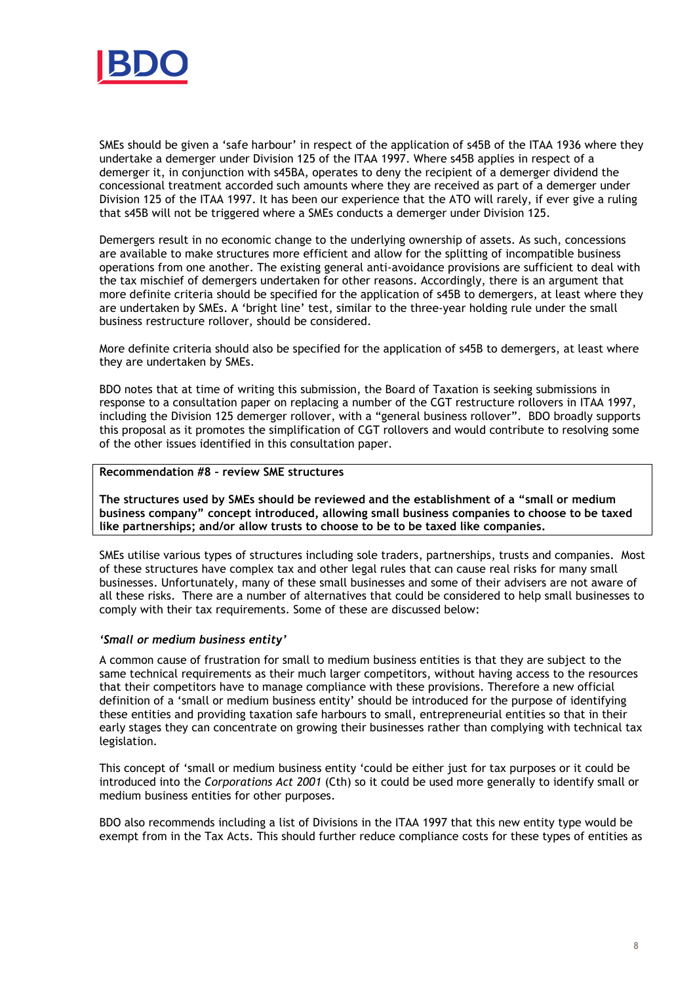

SMEs should be given a 'safe harbour' in respect of the application of s45B of the ITAA 1936 where they undertake a demerger under Division 125 of the ITAA 1997. Where s45B applies in respect of a demerger it, in conjunction with s45BA, operates to deny the recipient of a demerger dividend the concessional treatment accorded such amounts where they are received as part of a demerger under Division 125 of the ITAA 1997. It has been our experience that the ATO will rarely, if ever give a ruling that s45B will not be triggered where a SMEs conducts a demerger under Division 125.

Demergers result in no economic change to the underlying ownership of assets. As such, concessions are available to make structures more efficient and allow for the splitting of incompatible business operations from one another. The existing general anti-avoidance provisions are sufficient to deal with the tax mischief of demergers undertaken for other reasons. Accordingly, there is an argument that more definite criteria should be specified for the application of s45B to demergers, at least where they are undertaken by SMEs. A 'bright line' test, similar to the three-year holding rule under the small business restructure rollover, should be considered.

More definite criteria should also be specified for the application of s45B to demergers, at least where they are undertaken by SMEs.

BDO notes that at time of writing this submission, the Board of Taxation is seeking submissions in response to a consultation paper on replacing a number of the CGT restructure rollovers in ITAA 1997, including the Division 125 demerger rollover, with a "general business rollover". BDO broadly supports this proposal as it promotes the simplification of CGT rollovers and would contribute to resolving some of the other issues identified in this consultation paper.

## **Recommendation #8 – review SME structures**

**The structures used by SMEs should be reviewed and the establishment of a "small or medium business company" concept introduced, allowing small business companies to choose to be taxed like partnerships; and/or allow trusts to choose to be to be taxed like companies.** 

SMEs utilise various types of structures including sole traders, partnerships, trusts and companies. Most of these structures have complex tax and other legal rules that can cause real risks for many small businesses. Unfortunately, many of these small businesses and some of their advisers are not aware of all these risks. There are a number of alternatives that could be considered to help small businesses to comply with their tax requirements. Some of these are discussed below:

#### *'Small or medium business entity'*

A common cause of frustration for small to medium business entities is that they are subject to the same technical requirements as their much larger competitors, without having access to the resources that their competitors have to manage compliance with these provisions. Therefore a new official definition of a 'small or medium business entity' should be introduced for the purpose of identifying these entities and providing taxation safe harbours to small, entrepreneurial entities so that in their early stages they can concentrate on growing their businesses rather than complying with technical tax legislation.

This concept of 'small or medium business entity 'could be either just for tax purposes or it could be introduced into the *Corporations Act 2001* (Cth) so it could be used more generally to identify small or medium business entities for other purposes.

BDO also recommends including a list of Divisions in the ITAA 1997 that this new entity type would be exempt from in the Tax Acts. This should further reduce compliance costs for these types of entities as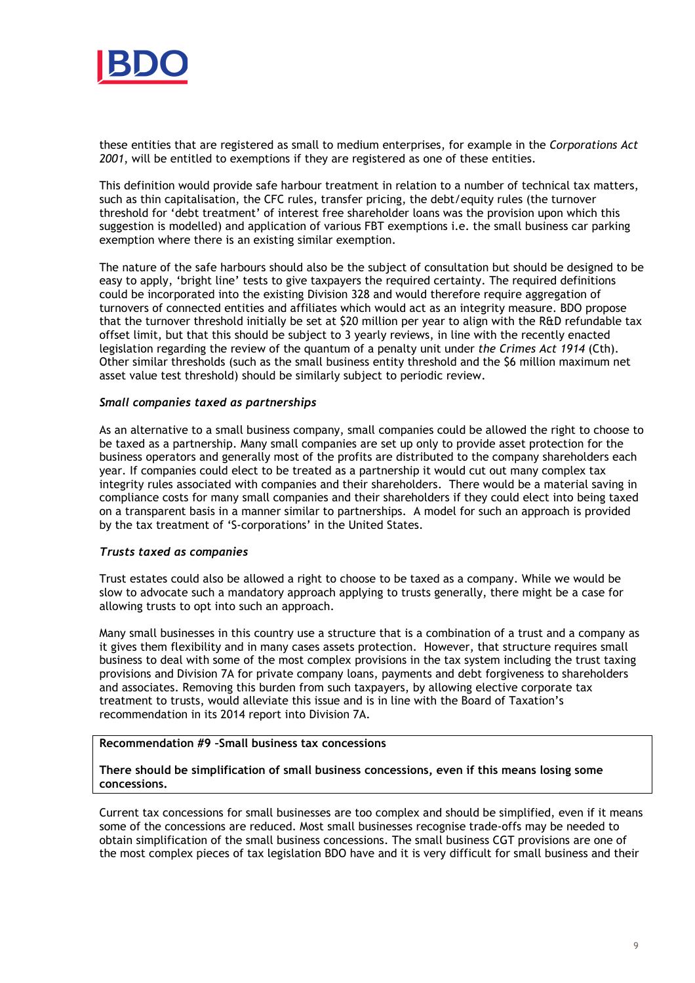

these entities that are registered as small to medium enterprises, for example in the *Corporations Act 2001*, will be entitled to exemptions if they are registered as one of these entities.

This definition would provide safe harbour treatment in relation to a number of technical tax matters, such as thin capitalisation, the CFC rules, transfer pricing, the debt/equity rules (the turnover threshold for 'debt treatment' of interest free shareholder loans was the provision upon which this suggestion is modelled) and application of various FBT exemptions i.e. the small business car parking exemption where there is an existing similar exemption.

The nature of the safe harbours should also be the subject of consultation but should be designed to be easy to apply, 'bright line' tests to give taxpayers the required certainty. The required definitions could be incorporated into the existing Division 328 and would therefore require aggregation of turnovers of connected entities and affiliates which would act as an integrity measure. BDO propose that the turnover threshold initially be set at \$20 million per year to align with the R&D refundable tax offset limit, but that this should be subject to 3 yearly reviews, in line with the recently enacted legislation regarding the review of the quantum of a penalty unit under *the Crimes Act 1914* (Cth). Other similar thresholds (such as the small business entity threshold and the \$6 million maximum net asset value test threshold) should be similarly subject to periodic review.

#### *Small companies taxed as partnerships*

As an alternative to a small business company, small companies could be allowed the right to choose to be taxed as a partnership. Many small companies are set up only to provide asset protection for the business operators and generally most of the profits are distributed to the company shareholders each year. If companies could elect to be treated as a partnership it would cut out many complex tax integrity rules associated with companies and their shareholders. There would be a material saving in compliance costs for many small companies and their shareholders if they could elect into being taxed on a transparent basis in a manner similar to partnerships. A model for such an approach is provided by the tax treatment of 'S-corporations' in the United States.

#### *Trusts taxed as companies*

Trust estates could also be allowed a right to choose to be taxed as a company. While we would be slow to advocate such a mandatory approach applying to trusts generally, there might be a case for allowing trusts to opt into such an approach.

Many small businesses in this country use a structure that is a combination of a trust and a company as it gives them flexibility and in many cases assets protection. However, that structure requires small business to deal with some of the most complex provisions in the tax system including the trust taxing provisions and Division 7A for private company loans, payments and debt forgiveness to shareholders and associates. Removing this burden from such taxpayers, by allowing elective corporate tax treatment to trusts, would alleviate this issue and is in line with the Board of Taxation's recommendation in its 2014 report into Division 7A.

#### **Recommendation #9 –Small business tax concessions**

### **There should be simplification of small business concessions, even if this means losing some concessions.**

Current tax concessions for small businesses are too complex and should be simplified, even if it means some of the concessions are reduced. Most small businesses recognise trade-offs may be needed to obtain simplification of the small business concessions. The small business CGT provisions are one of the most complex pieces of tax legislation BDO have and it is very difficult for small business and their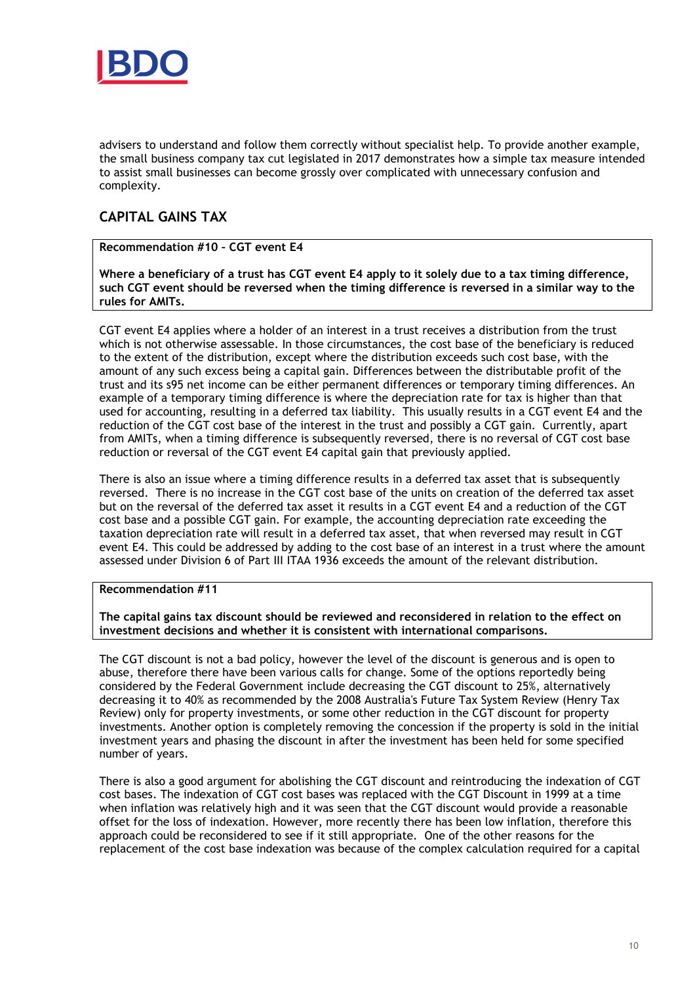

advisers to understand and follow them correctly without specialist help. To provide another example, the small business company tax cut legislated in 2017 demonstrates how a simple tax measure intended to assist small businesses can become grossly over complicated with unnecessary confusion and complexity.

# **CAPITAL GAINS TAX**

## **Recommendation #10 – CGT event E4**

**Where a beneficiary of a trust has CGT event E4 apply to it solely due to a tax timing difference, such CGT event should be reversed when the timing difference is reversed in a similar way to the rules for AMITs.** 

CGT event E4 applies where a holder of an interest in a trust receives a distribution from the trust which is not otherwise assessable. In those circumstances, the cost base of the beneficiary is reduced to the extent of the distribution, except where the distribution exceeds such cost base, with the amount of any such excess being a capital gain. Differences between the distributable profit of the trust and its s95 net income can be either permanent differences or temporary timing differences. An example of a temporary timing difference is where the depreciation rate for tax is higher than that used for accounting, resulting in a deferred tax liability. This usually results in a CGT event E4 and the reduction of the CGT cost base of the interest in the trust and possibly a CGT gain. Currently, apart from AMITs, when a timing difference is subsequently reversed, there is no reversal of CGT cost base reduction or reversal of the CGT event E4 capital gain that previously applied.

There is also an issue where a timing difference results in a deferred tax asset that is subsequently reversed. There is no increase in the CGT cost base of the units on creation of the deferred tax asset but on the reversal of the deferred tax asset it results in a CGT event E4 and a reduction of the CGT cost base and a possible CGT gain. For example, the accounting depreciation rate exceeding the taxation depreciation rate will result in a deferred tax asset, that when reversed may result in CGT event E4. This could be addressed by adding to the cost base of an interest in a trust where the amount assessed under Division 6 of Part III ITAA 1936 exceeds the amount of the relevant distribution.

#### **Recommendation #11**

**The capital gains tax discount should be reviewed and reconsidered in relation to the effect on investment decisions and whether it is consistent with international comparisons.** 

The CGT discount is not a bad policy, however the level of the discount is generous and is open to abuse, therefore there have been various calls for change. Some of the options reportedly being considered by the Federal Government include decreasing the CGT discount to 25%, alternatively decreasing it to 40% as recommended by the 2008 Australia's Future Tax System Review (Henry Tax Review) only for property investments, or some other reduction in the CGT discount for property investments. Another option is completely removing the concession if the property is sold in the initial investment years and phasing the discount in after the investment has been held for some specified number of years.

There is also a good argument for abolishing the CGT discount and reintroducing the indexation of CGT cost bases. The indexation of CGT cost bases was replaced with the CGT Discount in 1999 at a time when inflation was relatively high and it was seen that the CGT discount would provide a reasonable offset for the loss of indexation. However, more recently there has been low inflation, therefore this approach could be reconsidered to see if it still appropriate. One of the other reasons for the replacement of the cost base indexation was because of the complex calculation required for a capital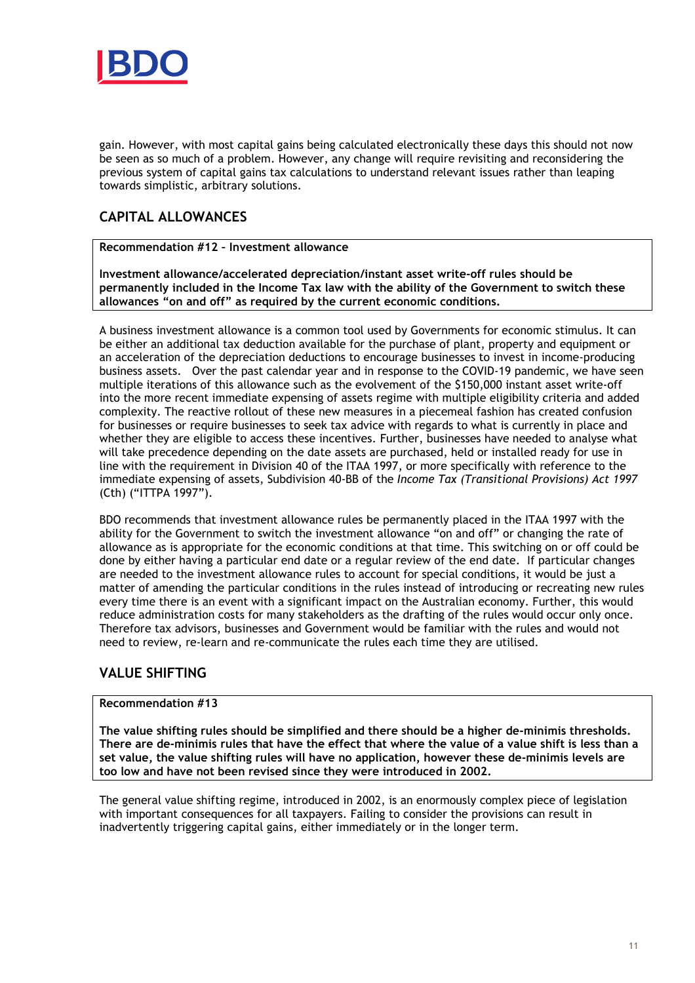

gain. However, with most capital gains being calculated electronically these days this should not now be seen as so much of a problem. However, any change will require revisiting and reconsidering the previous system of capital gains tax calculations to understand relevant issues rather than leaping towards simplistic, arbitrary solutions.

# **CAPITAL ALLOWANCES**

**Recommendation #12 – Investment allowance** 

**Investment allowance/accelerated depreciation/instant asset write-off rules should be permanently included in the Income Tax law with the ability of the Government to switch these allowances "on and off" as required by the current economic conditions.** 

A business investment allowance is a common tool used by Governments for economic stimulus. It can be either an additional tax deduction available for the purchase of plant, property and equipment or an acceleration of the depreciation deductions to encourage businesses to invest in income-producing business assets. Over the past calendar year and in response to the COVID-19 pandemic, we have seen multiple iterations of this allowance such as the evolvement of the \$150,000 instant asset write-off into the more recent immediate expensing of assets regime with multiple eligibility criteria and added complexity. The reactive rollout of these new measures in a piecemeal fashion has created confusion for businesses or require businesses to seek tax advice with regards to what is currently in place and whether they are eligible to access these incentives. Further, businesses have needed to analyse what will take precedence depending on the date assets are purchased, held or installed ready for use in line with the requirement in Division 40 of the ITAA 1997, or more specifically with reference to the immediate expensing of assets, Subdivision 40-BB of the *Income Tax (Transitional Provisions) Act 1997*  (Cth) ("ITTPA 1997").

BDO recommends that investment allowance rules be permanently placed in the ITAA 1997 with the ability for the Government to switch the investment allowance "on and off" or changing the rate of allowance as is appropriate for the economic conditions at that time. This switching on or off could be done by either having a particular end date or a regular review of the end date. If particular changes are needed to the investment allowance rules to account for special conditions, it would be just a matter of amending the particular conditions in the rules instead of introducing or recreating new rules every time there is an event with a significant impact on the Australian economy. Further, this would reduce administration costs for many stakeholders as the drafting of the rules would occur only once. Therefore tax advisors, businesses and Government would be familiar with the rules and would not need to review, re-learn and re-communicate the rules each time they are utilised.

## **VALUE SHIFTING**

## **Recommendation #13**

**The value shifting rules should be simplified and there should be a higher de-minimis thresholds. There are de-minimis rules that have the effect that where the value of a value shift is less than a set value, the value shifting rules will have no application, however these de-minimis levels are too low and have not been revised since they were introduced in 2002.** 

The general value shifting regime, introduced in 2002, is an enormously complex piece of legislation with important consequences for all taxpayers. Failing to consider the provisions can result in inadvertently triggering capital gains, either immediately or in the longer term.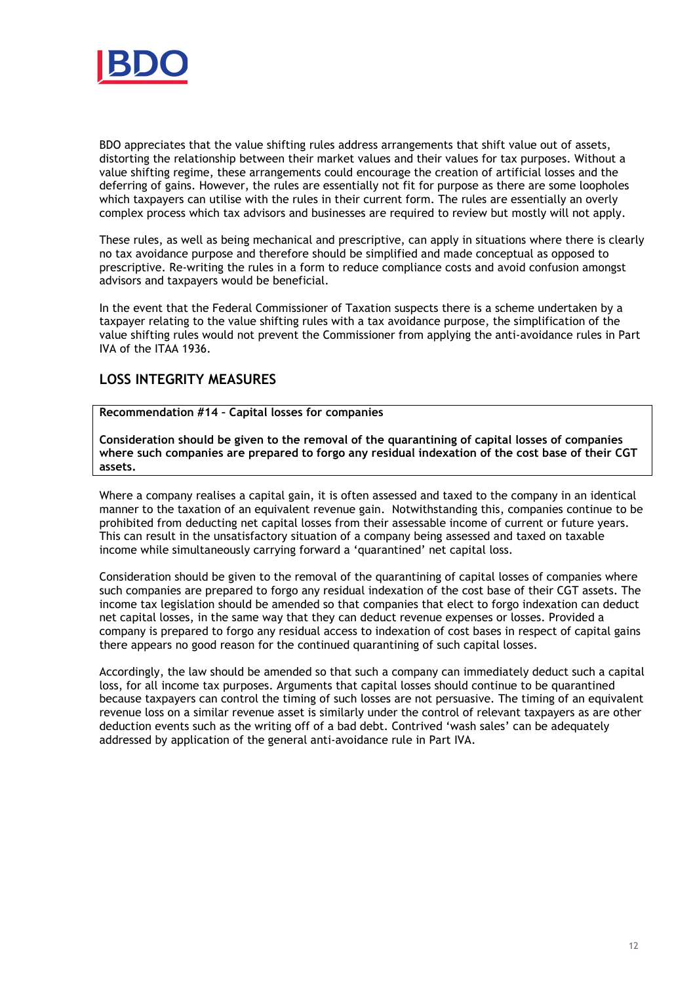

BDO appreciates that the value shifting rules address arrangements that shift value out of assets, distorting the relationship between their market values and their values for tax purposes. Without a value shifting regime, these arrangements could encourage the creation of artificial losses and the deferring of gains. However, the rules are essentially not fit for purpose as there are some loopholes which taxpayers can utilise with the rules in their current form. The rules are essentially an overly complex process which tax advisors and businesses are required to review but mostly will not apply.

These rules, as well as being mechanical and prescriptive, can apply in situations where there is clearly no tax avoidance purpose and therefore should be simplified and made conceptual as opposed to prescriptive. Re-writing the rules in a form to reduce compliance costs and avoid confusion amongst advisors and taxpayers would be beneficial.

In the event that the Federal Commissioner of Taxation suspects there is a scheme undertaken by a taxpayer relating to the value shifting rules with a tax avoidance purpose, the simplification of the value shifting rules would not prevent the Commissioner from applying the anti-avoidance rules in Part IVA of the ITAA 1936.

# **LOSS INTEGRITY MEASURES**

**Recommendation #14 – Capital losses for companies** 

**Consideration should be given to the removal of the quarantining of capital losses of companies where such companies are prepared to forgo any residual indexation of the cost base of their CGT assets.** 

Where a company realises a capital gain, it is often assessed and taxed to the company in an identical manner to the taxation of an equivalent revenue gain. Notwithstanding this, companies continue to be prohibited from deducting net capital losses from their assessable income of current or future years. This can result in the unsatisfactory situation of a company being assessed and taxed on taxable income while simultaneously carrying forward a 'quarantined' net capital loss.

Consideration should be given to the removal of the quarantining of capital losses of companies where such companies are prepared to forgo any residual indexation of the cost base of their CGT assets. The income tax legislation should be amended so that companies that elect to forgo indexation can deduct net capital losses, in the same way that they can deduct revenue expenses or losses. Provided a company is prepared to forgo any residual access to indexation of cost bases in respect of capital gains there appears no good reason for the continued quarantining of such capital losses.

Accordingly, the law should be amended so that such a company can immediately deduct such a capital loss, for all income tax purposes. Arguments that capital losses should continue to be quarantined because taxpayers can control the timing of such losses are not persuasive. The timing of an equivalent revenue loss on a similar revenue asset is similarly under the control of relevant taxpayers as are other deduction events such as the writing off of a bad debt. Contrived 'wash sales' can be adequately addressed by application of the general anti-avoidance rule in Part IVA.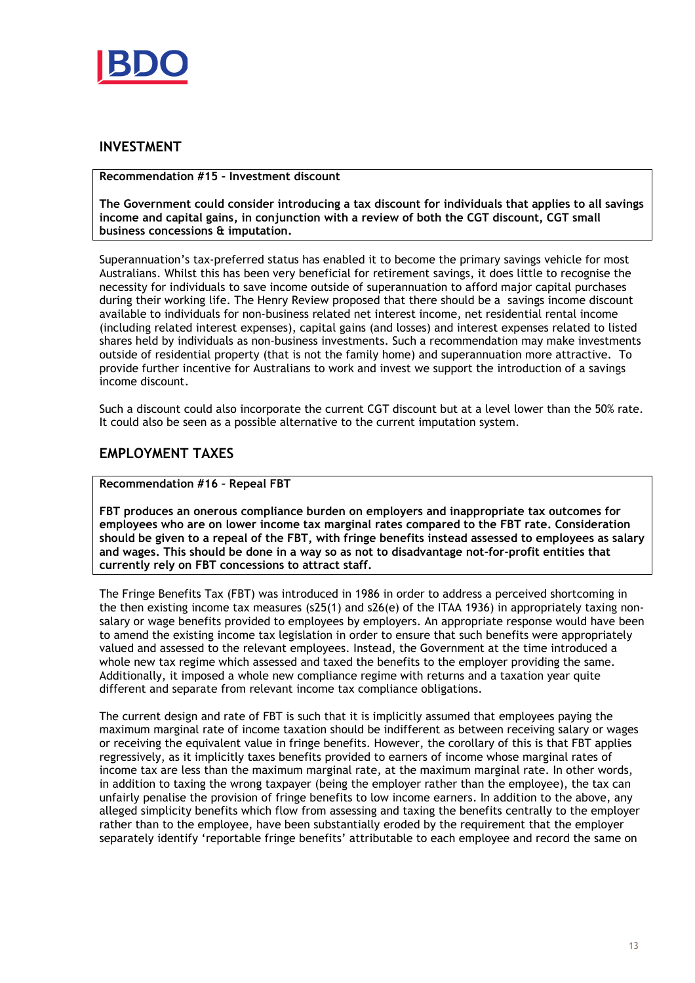

## **INVESTMENT**

### **Recommendation #15 – Investment discount**

**The Government could consider introducing a tax discount for individuals that applies to all savings income and capital gains, in conjunction with a review of both the CGT discount, CGT small business concessions & imputation.** 

Superannuation's tax-preferred status has enabled it to become the primary savings vehicle for most Australians. Whilst this has been very beneficial for retirement savings, it does little to recognise the necessity for individuals to save income outside of superannuation to afford major capital purchases during their working life. The Henry Review proposed that there should be a savings income discount available to individuals for non-business related net interest income, net residential rental income (including related interest expenses), capital gains (and losses) and interest expenses related to listed shares held by individuals as non-business investments. Such a recommendation may make investments outside of residential property (that is not the family home) and superannuation more attractive. To provide further incentive for Australians to work and invest we support the introduction of a savings income discount.

Such a discount could also incorporate the current CGT discount but at a level lower than the 50% rate. It could also be seen as a possible alternative to the current imputation system.

## **EMPLOYMENT TAXES**

## **Recommendation #16 – Repeal FBT**

**FBT produces an onerous compliance burden on employers and inappropriate tax outcomes for employees who are on lower income tax marginal rates compared to the FBT rate. Consideration should be given to a repeal of the FBT, with fringe benefits instead assessed to employees as salary and wages. This should be done in a way so as not to disadvantage not-for-profit entities that currently rely on FBT concessions to attract staff.** 

The Fringe Benefits Tax (FBT) was introduced in 1986 in order to address a perceived shortcoming in the then existing income tax measures (s25(1) and s26(e) of the ITAA 1936) in appropriately taxing nonsalary or wage benefits provided to employees by employers. An appropriate response would have been to amend the existing income tax legislation in order to ensure that such benefits were appropriately valued and assessed to the relevant employees. Instead, the Government at the time introduced a whole new tax regime which assessed and taxed the benefits to the employer providing the same. Additionally, it imposed a whole new compliance regime with returns and a taxation year quite different and separate from relevant income tax compliance obligations.

The current design and rate of FBT is such that it is implicitly assumed that employees paying the maximum marginal rate of income taxation should be indifferent as between receiving salary or wages or receiving the equivalent value in fringe benefits. However, the corollary of this is that FBT applies regressively, as it implicitly taxes benefits provided to earners of income whose marginal rates of income tax are less than the maximum marginal rate, at the maximum marginal rate. In other words, in addition to taxing the wrong taxpayer (being the employer rather than the employee), the tax can unfairly penalise the provision of fringe benefits to low income earners. In addition to the above, any alleged simplicity benefits which flow from assessing and taxing the benefits centrally to the employer rather than to the employee, have been substantially eroded by the requirement that the employer separately identify 'reportable fringe benefits' attributable to each employee and record the same on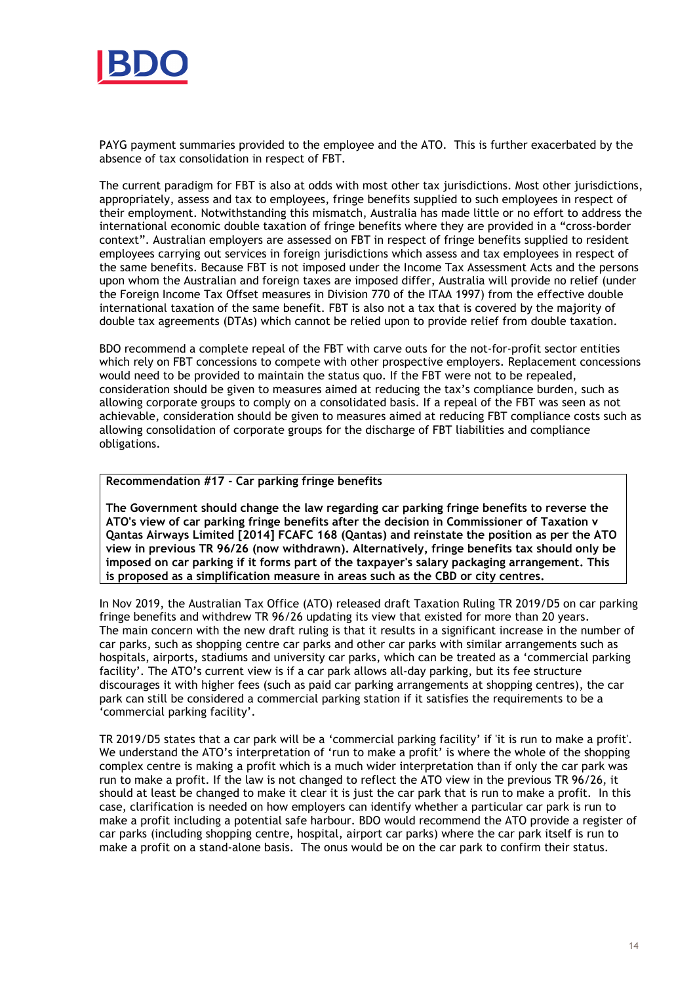

PAYG payment summaries provided to the employee and the ATO. This is further exacerbated by the absence of tax consolidation in respect of FBT.

The current paradigm for FBT is also at odds with most other tax jurisdictions. Most other jurisdictions, appropriately, assess and tax to employees, fringe benefits supplied to such employees in respect of their employment. Notwithstanding this mismatch, Australia has made little or no effort to address the international economic double taxation of fringe benefits where they are provided in a "cross-border context". Australian employers are assessed on FBT in respect of fringe benefits supplied to resident employees carrying out services in foreign jurisdictions which assess and tax employees in respect of the same benefits. Because FBT is not imposed under the Income Tax Assessment Acts and the persons upon whom the Australian and foreign taxes are imposed differ, Australia will provide no relief (under the Foreign Income Tax Offset measures in Division 770 of the ITAA 1997) from the effective double international taxation of the same benefit. FBT is also not a tax that is covered by the majority of double tax agreements (DTAs) which cannot be relied upon to provide relief from double taxation.

BDO recommend a complete repeal of the FBT with carve outs for the not-for-profit sector entities which rely on FBT concessions to compete with other prospective employers. Replacement concessions would need to be provided to maintain the status quo. If the FBT were not to be repealed, consideration should be given to measures aimed at reducing the tax's compliance burden, such as allowing corporate groups to comply on a consolidated basis. If a repeal of the FBT was seen as not achievable, consideration should be given to measures aimed at reducing FBT compliance costs such as allowing consolidation of corporate groups for the discharge of FBT liabilities and compliance obligations.

## **Recommendation #17 - Car parking fringe benefits**

**The Government should change the law regarding car parking fringe benefits to reverse the ATO's view of car parking fringe benefits after the decision in Commissioner of Taxation v Qantas Airways Limited [2014] FCAFC 168 (Qantas) and reinstate the position as per the ATO view in previous TR 96/26 (now withdrawn). Alternatively, fringe benefits tax should only be imposed on car parking if it forms part of the taxpayer's salary packaging arrangement. This is proposed as a simplification measure in areas such as the CBD or city centres.**

In Nov 2019, the Australian Tax Office (ATO) released draft Taxation Ruling TR 2019/D5 on car parking fringe benefits and withdrew TR 96/26 updating its view that existed for more than 20 years. The main concern with the new draft ruling is that it results in a significant increase in the number of car parks, such as shopping centre car parks and other car parks with similar arrangements such as hospitals, airports, stadiums and university car parks, which can be treated as a 'commercial parking facility'. The ATO's current view is if a car park allows all-day parking, but its fee structure discourages it with higher fees (such as paid car parking arrangements at shopping centres), the car park can still be considered a commercial parking station if it satisfies the requirements to be a 'commercial parking facility'.

TR 2019/D5 states that a car park will be a 'commercial parking facility' if 'it is run to make a profit'. We understand the ATO's interpretation of 'run to make a profit' is where the whole of the shopping complex centre is making a profit which is a much wider interpretation than if only the car park was run to make a profit. If the law is not changed to reflect the ATO view in the previous TR 96/26, it should at least be changed to make it clear it is just the car park that is run to make a profit. In this case, clarification is needed on how employers can identify whether a particular car park is run to make a profit including a potential safe harbour. BDO would recommend the ATO provide a register of car parks (including shopping centre, hospital, airport car parks) where the car park itself is run to make a profit on a stand-alone basis. The onus would be on the car park to confirm their status.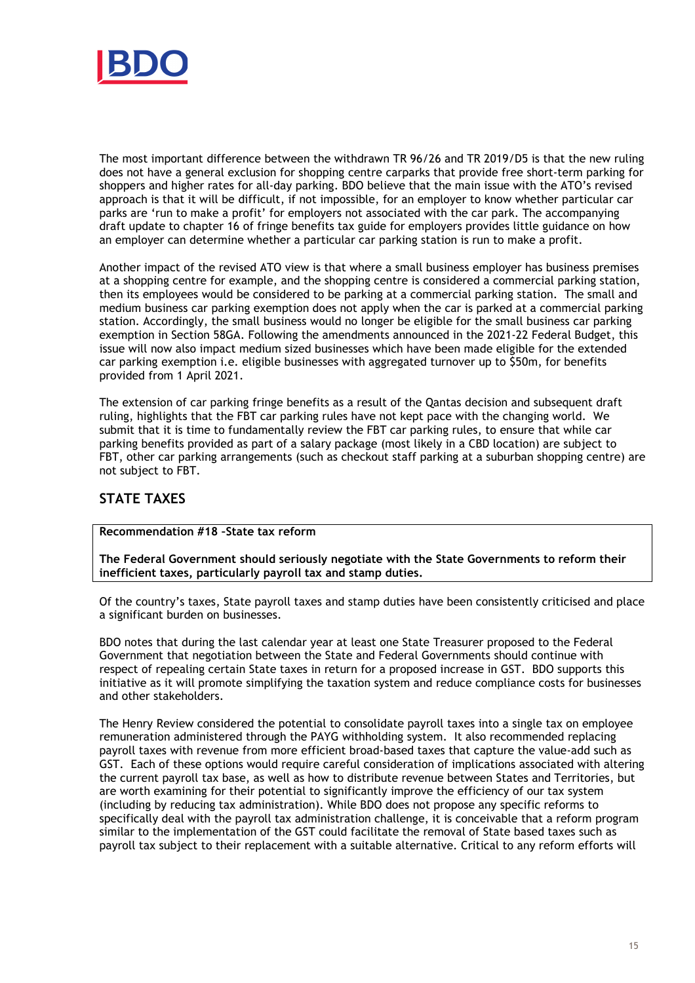

The most important difference between the withdrawn TR 96/26 and TR 2019/D5 is that the new ruling does not have a general exclusion for shopping centre carparks that provide free short-term parking for shoppers and higher rates for all-day parking. BDO believe that the main issue with the ATO's revised approach is that it will be difficult, if not impossible, for an employer to know whether particular car parks are 'run to make a profit' for employers not associated with the car park. The accompanying draft update to chapter 16 of fringe benefits tax guide for employers provides little guidance on how an employer can determine whether a particular car parking station is run to make a profit.

Another impact of the revised ATO view is that where a small business employer has business premises at a shopping centre for example, and the shopping centre is considered a commercial parking station, then its employees would be considered to be parking at a commercial parking station. The small and medium business car parking exemption does not apply when the car is parked at a commercial parking station. Accordingly, the small business would no longer be eligible for the small business car parking exemption in Section 58GA. Following the amendments announced in the 2021-22 Federal Budget, this issue will now also impact medium sized businesses which have been made eligible for the extended car parking exemption i.e. eligible businesses with aggregated turnover up to \$50m, for benefits provided from 1 April 2021.

The extension of car parking fringe benefits as a result of the Qantas decision and subsequent draft ruling, highlights that the FBT car parking rules have not kept pace with the changing world. We submit that it is time to fundamentally review the FBT car parking rules, to ensure that while car parking benefits provided as part of a salary package (most likely in a CBD location) are subject to FBT, other car parking arrangements (such as checkout staff parking at a suburban shopping centre) are not subject to FBT.

# **STATE TAXES**

**Recommendation #18 –State tax reform** 

**The Federal Government should seriously negotiate with the State Governments to reform their inefficient taxes, particularly payroll tax and stamp duties.** 

Of the country's taxes, State payroll taxes and stamp duties have been consistently criticised and place a significant burden on businesses.

BDO notes that during the last calendar year at least one State Treasurer proposed to the Federal Government that negotiation between the State and Federal Governments should continue with respect of repealing certain State taxes in return for a proposed increase in GST. BDO supports this initiative as it will promote simplifying the taxation system and reduce compliance costs for businesses and other stakeholders.

The Henry Review considered the potential to consolidate payroll taxes into a single tax on employee remuneration administered through the PAYG withholding system. It also recommended replacing payroll taxes with revenue from more efficient broad-based taxes that capture the value-add such as GST. Each of these options would require careful consideration of implications associated with altering the current payroll tax base, as well as how to distribute revenue between States and Territories, but are worth examining for their potential to significantly improve the efficiency of our tax system (including by reducing tax administration). While BDO does not propose any specific reforms to specifically deal with the payroll tax administration challenge, it is conceivable that a reform program similar to the implementation of the GST could facilitate the removal of State based taxes such as payroll tax subject to their replacement with a suitable alternative. Critical to any reform efforts will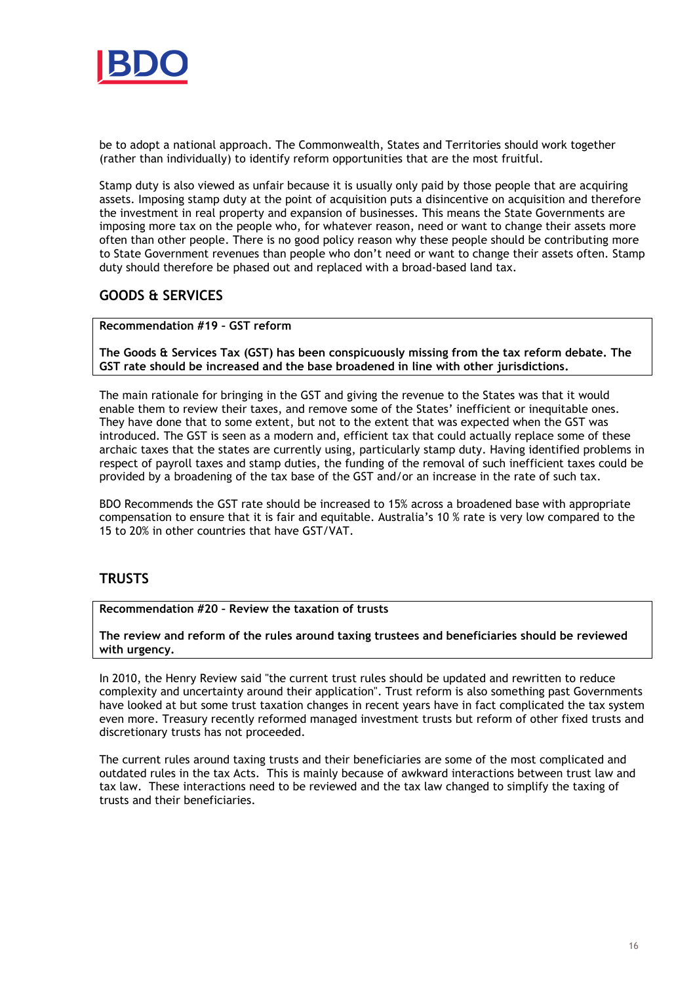

be to adopt a national approach. The Commonwealth, States and Territories should work together (rather than individually) to identify reform opportunities that are the most fruitful.

Stamp duty is also viewed as unfair because it is usually only paid by those people that are acquiring assets. Imposing stamp duty at the point of acquisition puts a disincentive on acquisition and therefore the investment in real property and expansion of businesses. This means the State Governments are imposing more tax on the people who, for whatever reason, need or want to change their assets more often than other people. There is no good policy reason why these people should be contributing more to State Government revenues than people who don't need or want to change their assets often. Stamp duty should therefore be phased out and replaced with a broad-based land tax.

# **GOODS & SERVICES**

**Recommendation #19 – GST reform** 

**The Goods & Services Tax (GST) has been conspicuously missing from the tax reform debate. The GST rate should be increased and the base broadened in line with other jurisdictions.** 

The main rationale for bringing in the GST and giving the revenue to the States was that it would enable them to review their taxes, and remove some of the States' inefficient or inequitable ones. They have done that to some extent, but not to the extent that was expected when the GST was introduced. The GST is seen as a modern and, efficient tax that could actually replace some of these archaic taxes that the states are currently using, particularly stamp duty. Having identified problems in respect of payroll taxes and stamp duties, the funding of the removal of such inefficient taxes could be provided by a broadening of the tax base of the GST and/or an increase in the rate of such tax.

BDO Recommends the GST rate should be increased to 15% across a broadened base with appropriate compensation to ensure that it is fair and equitable. Australia's 10 % rate is very low compared to the 15 to 20% in other countries that have GST/VAT.

# **TRUSTS**

**Recommendation #20 – Review the taxation of trusts** 

**The review and reform of the rules around taxing trustees and beneficiaries should be reviewed with urgency.** 

In 2010, the Henry Review said "the current trust rules should be updated and rewritten to reduce complexity and uncertainty around their application". Trust reform is also something past Governments have looked at but some trust taxation changes in recent years have in fact complicated the tax system even more. Treasury recently reformed managed investment trusts but reform of other fixed trusts and discretionary trusts has not proceeded.

The current rules around taxing trusts and their beneficiaries are some of the most complicated and outdated rules in the tax Acts. This is mainly because of awkward interactions between trust law and tax law. These interactions need to be reviewed and the tax law changed to simplify the taxing of trusts and their beneficiaries.